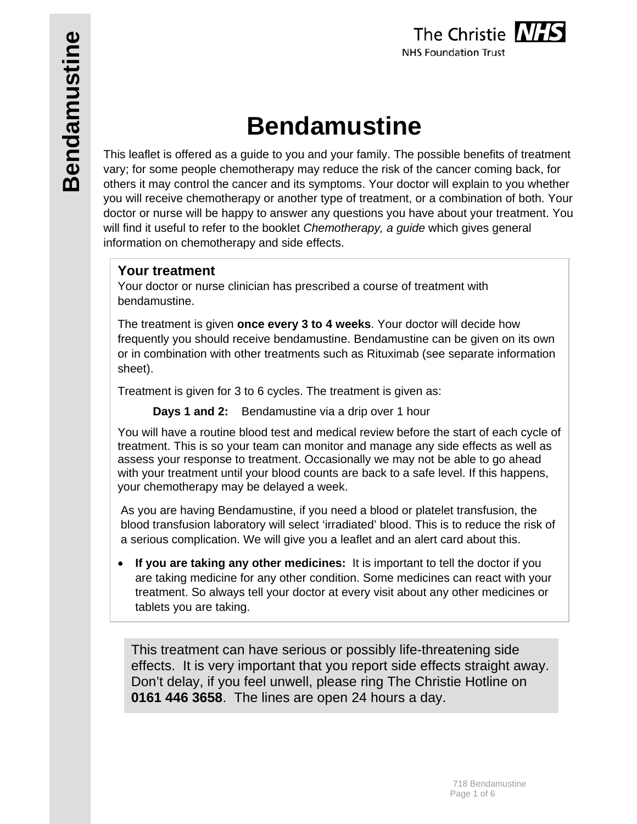# **Bendamustine**

This leaflet is offered as a guide to you and your family. The possible benefits of treatment vary; for some people chemotherapy may reduce the risk of the cancer coming back, for others it may control the cancer and its symptoms. Your doctor will explain to you whether you will receive chemotherapy or another type of treatment, or a combination of both. Your doctor or nurse will be happy to answer any questions you have about your treatment. You will find it useful to refer to the booklet *Chemotherapy, a guide* which gives general information on chemotherapy and side effects.

# **Your treatment**

Your doctor or nurse clinician has prescribed a course of treatment with bendamustine.

The treatment is given **once every 3 to 4 weeks**. Your doctor will decide how frequently you should receive bendamustine. Bendamustine can be given on its own or in combination with other treatments such as Rituximab (see separate information sheet).

Treatment is given for 3 to 6 cycles. The treatment is given as:

**Days 1 and 2:** Bendamustine via a drip over 1 hour

You will have a routine blood test and medical review before the start of each cycle of treatment. This is so your team can monitor and manage any side effects as well as assess your response to treatment. Occasionally we may not be able to go ahead with your treatment until your blood counts are back to a safe level. If this happens, your chemotherapy may be delayed a week.

As you are having Bendamustine, if you need a blood or platelet transfusion, the blood transfusion laboratory will select 'irradiated' blood. This is to reduce the risk of a serious complication. We will give you a leaflet and an alert card about this.

 **If you are taking any other medicines:** It is important to tell the doctor if you are taking medicine for any other condition. Some medicines can react with your treatment. So always tell your doctor at every visit about any other medicines or tablets you are taking.

This treatment can have serious or possibly life-threatening side effects. It is very important that you report side effects straight away. Don't delay, if you feel unwell, please ring The Christie Hotline on **0161 446 3658**. The lines are open 24 hours a day.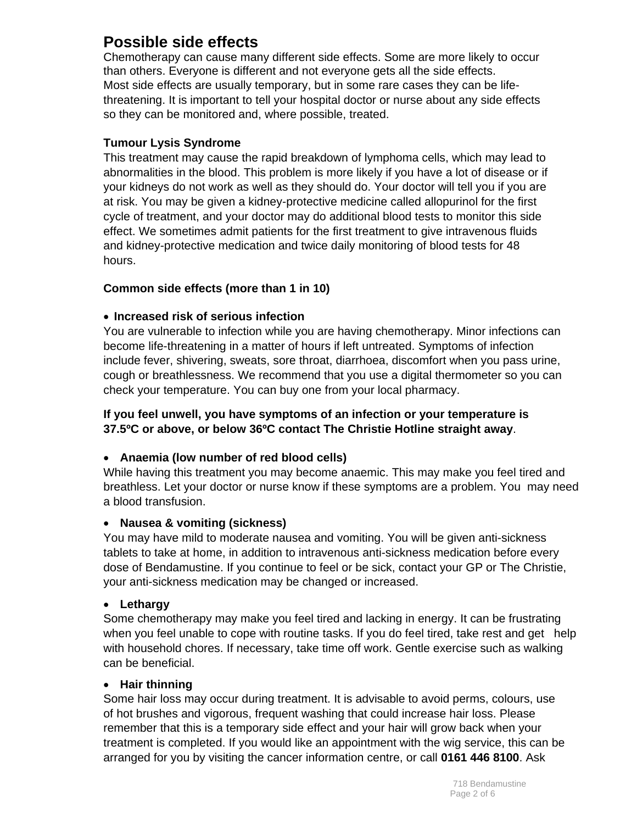# **Possible side effects**

Chemotherapy can cause many different side effects. Some are more likely to occur than others. Everyone is different and not everyone gets all the side effects. Most side effects are usually temporary, but in some rare cases they can be lifethreatening. It is important to tell your hospital doctor or nurse about any side effects so they can be monitored and, where possible, treated.

## **Tumour Lysis Syndrome**

This treatment may cause the rapid breakdown of lymphoma cells, which may lead to abnormalities in the blood. This problem is more likely if you have a lot of disease or if your kidneys do not work as well as they should do. Your doctor will tell you if you are at risk. You may be given a kidney-protective medicine called allopurinol for the first cycle of treatment, and your doctor may do additional blood tests to monitor this side effect. We sometimes admit patients for the first treatment to give intravenous fluids and kidney-protective medication and twice daily monitoring of blood tests for 48 hours.

# **Common side effects (more than 1 in 10)**

# **Increased risk of serious infection**

You are vulnerable to infection while you are having chemotherapy. Minor infections can become life-threatening in a matter of hours if left untreated. Symptoms of infection include fever, shivering, sweats, sore throat, diarrhoea, discomfort when you pass urine, cough or breathlessness. We recommend that you use a digital thermometer so you can check your temperature. You can buy one from your local pharmacy.

## **If you feel unwell, you have symptoms of an infection or your temperature is 37.5ºC or above, or below 36ºC contact The Christie Hotline straight away**.

# **Anaemia (low number of red blood cells)**

While having this treatment you may become anaemic. This may make you feel tired and breathless. Let your doctor or nurse know if these symptoms are a problem. You may need a blood transfusion.

## **Nausea & vomiting (sickness)**

You may have mild to moderate nausea and vomiting. You will be given anti-sickness tablets to take at home, in addition to intravenous anti-sickness medication before every dose of Bendamustine. If you continue to feel or be sick, contact your GP or The Christie, your anti-sickness medication may be changed or increased.

## **Lethargy**

Some chemotherapy may make you feel tired and lacking in energy. It can be frustrating when you feel unable to cope with routine tasks. If you do feel tired, take rest and get help with household chores. If necessary, take time off work. Gentle exercise such as walking can be beneficial.

## **Hair thinning**

Some hair loss may occur during treatment. It is advisable to avoid perms, colours, use of hot brushes and vigorous, frequent washing that could increase hair loss. Please remember that this is a temporary side effect and your hair will grow back when your treatment is completed. If you would like an appointment with the wig service, this can be arranged for you by visiting the cancer information centre, or call **0161 446 8100**. Ask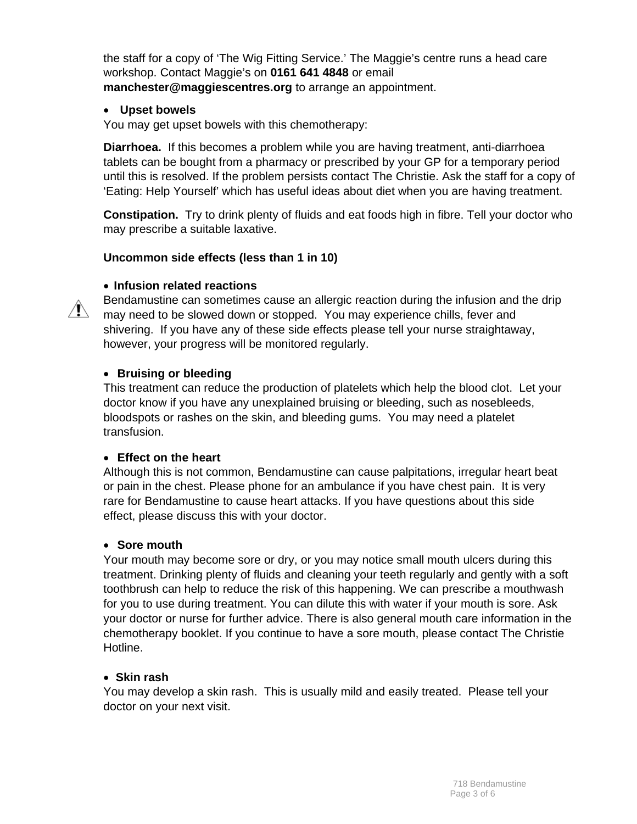the staff for a copy of 'The Wig Fitting Service.' The Maggie's centre runs a head care workshop. Contact Maggie's on **0161 641 4848** or email **manchester@maggiescentres.org** to arrange an appointment.

#### **Upset bowels**

You may get upset bowels with this chemotherapy:

**Diarrhoea.** If this becomes a problem while you are having treatment, anti-diarrhoea tablets can be bought from a pharmacy or prescribed by your GP for a temporary period until this is resolved. If the problem persists contact The Christie. Ask the staff for a copy of 'Eating: Help Yourself' which has useful ideas about diet when you are having treatment.

**Constipation.** Try to drink plenty of fluids and eat foods high in fibre. Tell your doctor who may prescribe a suitable laxative.

#### **Uncommon side effects (less than 1 in 10)**

#### **Infusion related reactions**



#### **Bruising or bleeding**

 $\sqrt{N}$ 

This treatment can reduce the production of platelets which help the blood clot. Let your doctor know if you have any unexplained bruising or bleeding, such as nosebleeds, bloodspots or rashes on the skin, and bleeding gums. You may need a platelet transfusion.

#### **Effect on the heart**

Although this is not common, Bendamustine can cause palpitations, irregular heart beat or pain in the chest. Please phone for an ambulance if you have chest pain. It is very rare for Bendamustine to cause heart attacks. If you have questions about this side effect, please discuss this with your doctor.

#### **Sore mouth**

Your mouth may become sore or dry, or you may notice small mouth ulcers during this treatment. Drinking plenty of fluids and cleaning your teeth regularly and gently with a soft toothbrush can help to reduce the risk of this happening. We can prescribe a mouthwash for you to use during treatment. You can dilute this with water if your mouth is sore. Ask your doctor or nurse for further advice. There is also general mouth care information in the chemotherapy booklet. If you continue to have a sore mouth, please contact The Christie Hotline.

#### **Skin rash**

You may develop a skin rash. This is usually mild and easily treated. Please tell your doctor on your next visit.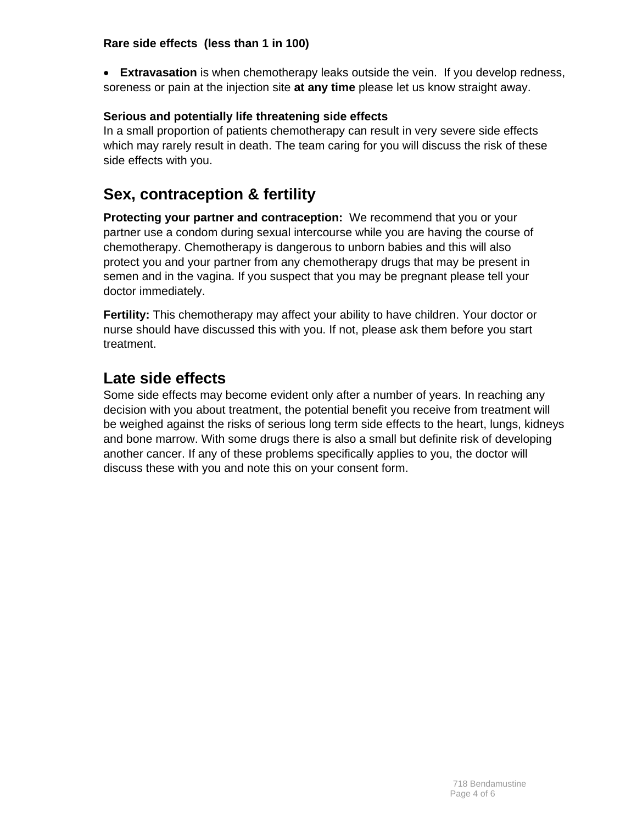## **Rare side effects (less than 1 in 100)**

 **Extravasation** is when chemotherapy leaks outside the vein. If you develop redness, soreness or pain at the injection site **at any time** please let us know straight away.

# **Serious and potentially life threatening side effects**

In a small proportion of patients chemotherapy can result in very severe side effects which may rarely result in death. The team caring for you will discuss the risk of these side effects with you.

# **Sex, contraception & fertility**

**Protecting your partner and contraception:** We recommend that you or your partner use a condom during sexual intercourse while you are having the course of chemotherapy. Chemotherapy is dangerous to unborn babies and this will also protect you and your partner from any chemotherapy drugs that may be present in semen and in the vagina. If you suspect that you may be pregnant please tell your doctor immediately.

**Fertility:** This chemotherapy may affect your ability to have children. Your doctor or nurse should have discussed this with you. If not, please ask them before you start treatment.

# **Late side effects**

Some side effects may become evident only after a number of years. In reaching any decision with you about treatment, the potential benefit you receive from treatment will be weighed against the risks of serious long term side effects to the heart, lungs, kidneys and bone marrow. With some drugs there is also a small but definite risk of developing another cancer. If any of these problems specifically applies to you, the doctor will discuss these with you and note this on your consent form.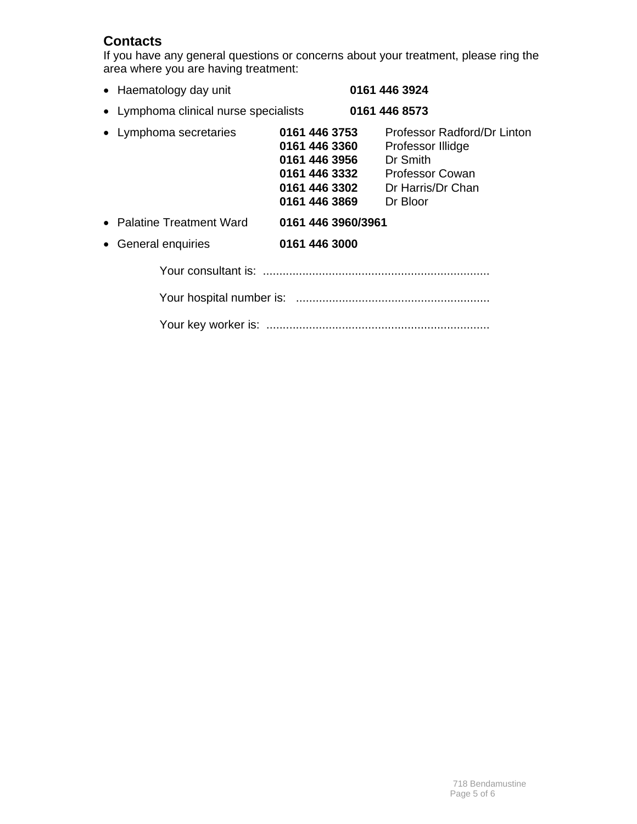# **Contacts**

If you have any general questions or concerns about your treatment, please ring the area where you are having treatment:

| • Haematology day unit                |                                                                  | 0161 446 3924                                                                                                                                       |
|---------------------------------------|------------------------------------------------------------------|-----------------------------------------------------------------------------------------------------------------------------------------------------|
| • Lymphoma clinical nurse specialists |                                                                  | 0161 446 8573                                                                                                                                       |
| • Lymphoma secretaries                | 0161 446 3753<br>0161 446 3360<br>0161 446 3956<br>0161 446 3869 | Professor Radford/Dr Linton<br>Professor Illidge<br>Dr Smith<br>0161 446 3332 Professor Cowan<br><b>0161 446 3302</b> Dr Harris/Dr Chan<br>Dr Bloor |
| • Palatine Treatment Ward             | 0161 446 3960/3961                                               |                                                                                                                                                     |
| • General enquiries                   | 0161 446 3000                                                    |                                                                                                                                                     |
|                                       |                                                                  |                                                                                                                                                     |
|                                       |                                                                  |                                                                                                                                                     |
|                                       |                                                                  |                                                                                                                                                     |